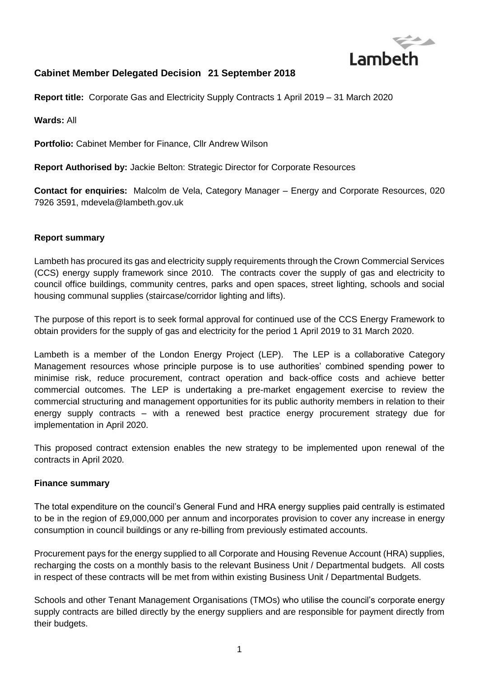

# **Cabinet Member Delegated Decision 21 September 2018**

**Report title:** Corporate Gas and Electricity Supply Contracts 1 April 2019 – 31 March 2020

**Wards:** All

**Portfolio:** Cabinet Member for Finance, Cllr Andrew Wilson

**Report Authorised by:** Jackie Belton: Strategic Director for Corporate Resources

**Contact for enquiries:** Malcolm de Vela, Category Manager – Energy and Corporate Resources, 020 7926 3591, mdevela@lambeth.gov.uk

#### **Report summary**

Lambeth has procured its gas and electricity supply requirements through the Crown Commercial Services (CCS) energy supply framework since 2010. The contracts cover the supply of gas and electricity to council office buildings, community centres, parks and open spaces, street lighting, schools and social housing communal supplies (staircase/corridor lighting and lifts).

The purpose of this report is to seek formal approval for continued use of the CCS Energy Framework to obtain providers for the supply of gas and electricity for the period 1 April 2019 to 31 March 2020.

Lambeth is a member of the London Energy Project (LEP). The LEP is a collaborative Category Management resources whose principle purpose is to use authorities' combined spending power to minimise risk, reduce procurement, contract operation and back-office costs and achieve better commercial outcomes. The LEP is undertaking a pre-market engagement exercise to review the commercial structuring and management opportunities for its public authority members in relation to their energy supply contracts – with a renewed best practice energy procurement strategy due for implementation in April 2020.

This proposed contract extension enables the new strategy to be implemented upon renewal of the contracts in April 2020.

#### **Finance summary**

The total expenditure on the council's General Fund and HRA energy supplies paid centrally is estimated to be in the region of £9,000,000 per annum and incorporates provision to cover any increase in energy consumption in council buildings or any re-billing from previously estimated accounts.

Procurement pays for the energy supplied to all Corporate and Housing Revenue Account (HRA) supplies, recharging the costs on a monthly basis to the relevant Business Unit / Departmental budgets. All costs in respect of these contracts will be met from within existing Business Unit / Departmental Budgets.

Schools and other Tenant Management Organisations (TMOs) who utilise the council's corporate energy supply contracts are billed directly by the energy suppliers and are responsible for payment directly from their budgets.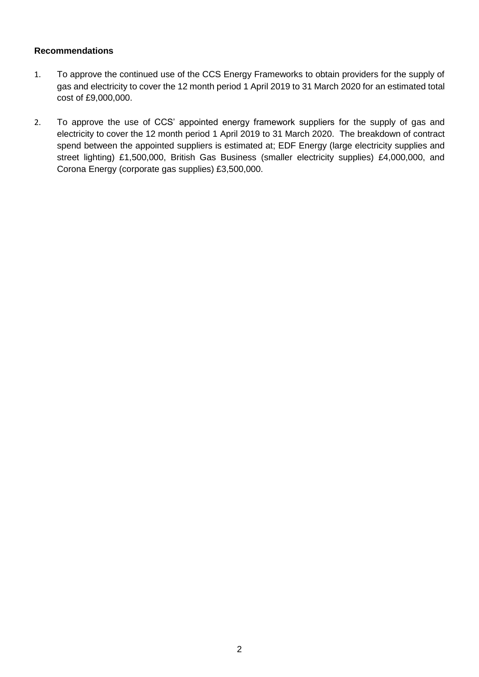#### **Recommendations**

- 1. To approve the continued use of the CCS Energy Frameworks to obtain providers for the supply of gas and electricity to cover the 12 month period 1 April 2019 to 31 March 2020 for an estimated total cost of £9,000,000.
- 2. To approve the use of CCS' appointed energy framework suppliers for the supply of gas and electricity to cover the 12 month period 1 April 2019 to 31 March 2020. The breakdown of contract spend between the appointed suppliers is estimated at; EDF Energy (large electricity supplies and street lighting) £1,500,000, British Gas Business (smaller electricity supplies) £4,000,000, and Corona Energy (corporate gas supplies) £3,500,000.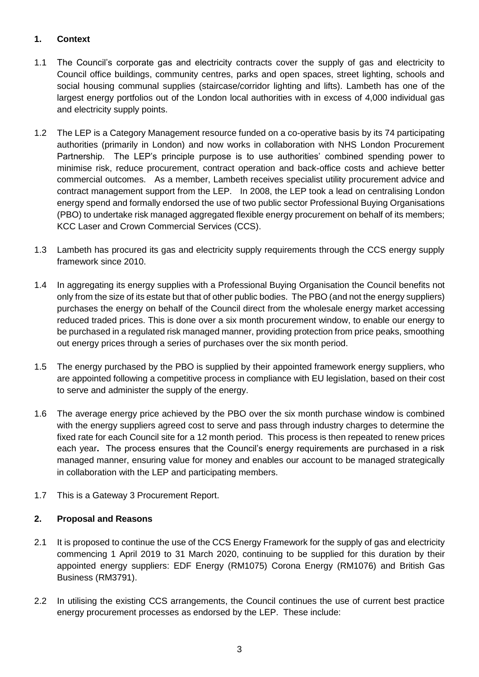## **1. Context**

- 1.1 The Council's corporate gas and electricity contracts cover the supply of gas and electricity to Council office buildings, community centres, parks and open spaces, street lighting, schools and social housing communal supplies (staircase/corridor lighting and lifts). Lambeth has one of the largest energy portfolios out of the London local authorities with in excess of 4,000 individual gas and electricity supply points.
- 1.2 The LEP is a Category Management resource funded on a co-operative basis by its 74 participating authorities (primarily in London) and now works in collaboration with NHS London Procurement Partnership. The LEP's principle purpose is to use authorities' combined spending power to minimise risk, reduce procurement, contract operation and back-office costs and achieve better commercial outcomes. As a member, Lambeth receives specialist utility procurement advice and contract management support from the LEP. In 2008, the LEP took a lead on centralising London energy spend and formally endorsed the use of two public sector Professional Buying Organisations (PBO) to undertake risk managed aggregated flexible energy procurement on behalf of its members; KCC Laser and Crown Commercial Services (CCS).
- 1.3 Lambeth has procured its gas and electricity supply requirements through the CCS energy supply framework since 2010.
- 1.4 In aggregating its energy supplies with a Professional Buying Organisation the Council benefits not only from the size of its estate but that of other public bodies. The PBO (and not the energy suppliers) purchases the energy on behalf of the Council direct from the wholesale energy market accessing reduced traded prices. This is done over a six month procurement window, to enable our energy to be purchased in a regulated risk managed manner, providing protection from price peaks, smoothing out energy prices through a series of purchases over the six month period.
- 1.5 The energy purchased by the PBO is supplied by their appointed framework energy suppliers, who are appointed following a competitive process in compliance with EU legislation, based on their cost to serve and administer the supply of the energy.
- 1.6 The average energy price achieved by the PBO over the six month purchase window is combined with the energy suppliers agreed cost to serve and pass through industry charges to determine the fixed rate for each Council site for a 12 month period. This process is then repeated to renew prices each year**.** The process ensures that the Council's energy requirements are purchased in a risk managed manner, ensuring value for money and enables our account to be managed strategically in collaboration with the LEP and participating members.
- 1.7 This is a Gateway 3 Procurement Report.

## **2. Proposal and Reasons**

- 2.1 It is proposed to continue the use of the CCS Energy Framework for the supply of gas and electricity commencing 1 April 2019 to 31 March 2020, continuing to be supplied for this duration by their appointed energy suppliers: EDF Energy (RM1075) Corona Energy (RM1076) and British Gas Business (RM3791).
- 2.2 In utilising the existing CCS arrangements, the Council continues the use of current best practice energy procurement processes as endorsed by the LEP. These include: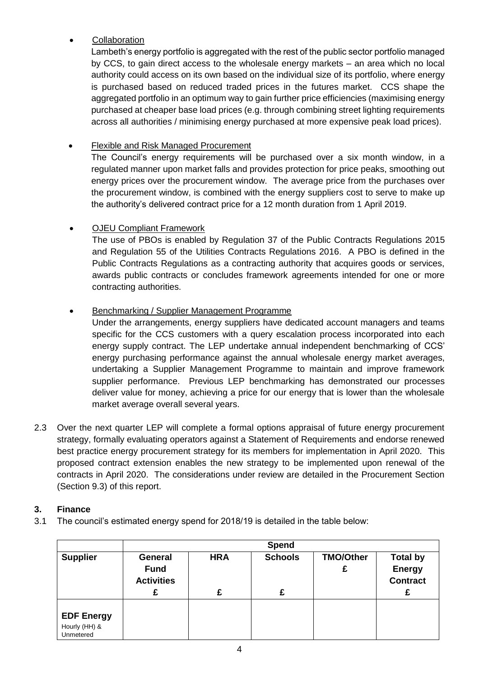## **Collaboration**

Lambeth's energy portfolio is aggregated with the rest of the public sector portfolio managed by CCS, to gain direct access to the wholesale energy markets – an area which no local authority could access on its own based on the individual size of its portfolio, where energy is purchased based on reduced traded prices in the futures market. CCS shape the aggregated portfolio in an optimum way to gain further price efficiencies (maximising energy purchased at cheaper base load prices (e.g. through combining street lighting requirements across all authorities / minimising energy purchased at more expensive peak load prices).

# Flexible and Risk Managed Procurement

The Council's energy requirements will be purchased over a six month window, in a regulated manner upon market falls and provides protection for price peaks, smoothing out energy prices over the procurement window. The average price from the purchases over the procurement window, is combined with the energy suppliers cost to serve to make up the authority's delivered contract price for a 12 month duration from 1 April 2019.

# OJEU Compliant Framework

The use of PBOs is enabled by Regulation 37 of the Public Contracts Regulations 2015 and Regulation 55 of the Utilities Contracts Regulations 2016. A PBO is defined in the Public Contracts Regulations as a contracting authority that acquires goods or services, awards public contracts or concludes framework agreements intended for one or more contracting authorities.

# Benchmarking / Supplier Management Programme

Under the arrangements, energy suppliers have dedicated account managers and teams specific for the CCS customers with a query escalation process incorporated into each energy supply contract. The LEP undertake annual independent benchmarking of CCS' energy purchasing performance against the annual wholesale energy market averages, undertaking a Supplier Management Programme to maintain and improve framework supplier performance. Previous LEP benchmarking has demonstrated our processes deliver value for money, achieving a price for our energy that is lower than the wholesale market average overall several years.

2.3 Over the next quarter LEP will complete a formal options appraisal of future energy procurement strategy, formally evaluating operators against a Statement of Requirements and endorse renewed best practice energy procurement strategy for its members for implementation in April 2020. This proposed contract extension enables the new strategy to be implemented upon renewal of the contracts in April 2020. The considerations under review are detailed in the Procurement Section (Section 9.3) of this report.

## **3. Finance**

3.1 The council's estimated energy spend for 2018/19 is detailed in the table below:

|                                                 | Spend                                              |            |                |                       |                                                     |  |  |
|-------------------------------------------------|----------------------------------------------------|------------|----------------|-----------------------|-----------------------------------------------------|--|--|
| <b>Supplier</b>                                 | <b>General</b><br><b>Fund</b><br><b>Activities</b> | <b>HRA</b> | <b>Schools</b> | <b>TMO/Other</b><br>£ | <b>Total by</b><br><b>Energy</b><br><b>Contract</b> |  |  |
|                                                 |                                                    |            | £              |                       |                                                     |  |  |
| <b>EDF Energy</b><br>Hourly (HH) &<br>Unmetered |                                                    |            |                |                       |                                                     |  |  |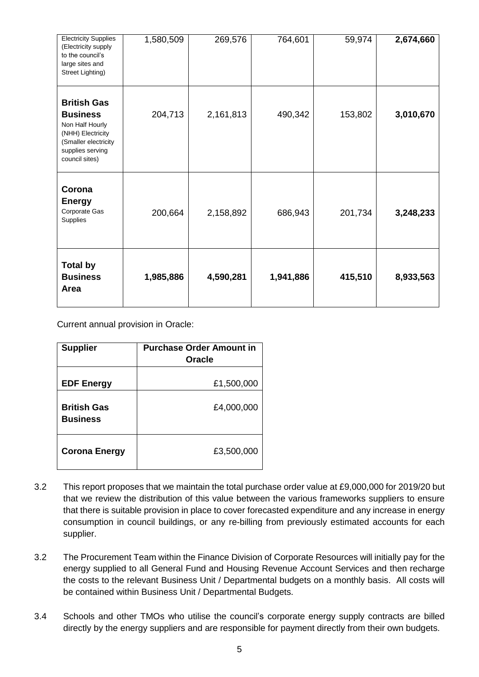| <b>Electricity Supplies</b><br>(Electricity supply<br>to the council's<br>large sites and<br>Street Lighting)                               | 1,580,509 | 269,576   | 764,601   | 59,974  | 2,674,660 |
|---------------------------------------------------------------------------------------------------------------------------------------------|-----------|-----------|-----------|---------|-----------|
| <b>British Gas</b><br><b>Business</b><br>Non Half Hourly<br>(NHH) Electricity<br>(Smaller electricity<br>supplies serving<br>council sites) | 204,713   | 2,161,813 | 490,342   | 153,802 | 3,010,670 |
| Corona<br><b>Energy</b><br>Corporate Gas<br>Supplies                                                                                        | 200,664   | 2,158,892 | 686,943   | 201,734 | 3,248,233 |
| <b>Total by</b><br><b>Business</b><br>Area                                                                                                  | 1,985,886 | 4,590,281 | 1,941,886 | 415,510 | 8,933,563 |

Current annual provision in Oracle:

| <b>Supplier</b>                       | <b>Purchase Order Amount in</b><br>Oracle |
|---------------------------------------|-------------------------------------------|
| <b>EDF Energy</b>                     | £1,500,000                                |
| <b>British Gas</b><br><b>Business</b> | £4,000,000                                |
| <b>Corona Energy</b>                  | £3,500,000                                |

- 3.2 This report proposes that we maintain the total purchase order value at £9,000,000 for 2019/20 but that we review the distribution of this value between the various frameworks suppliers to ensure that there is suitable provision in place to cover forecasted expenditure and any increase in energy consumption in council buildings, or any re-billing from previously estimated accounts for each supplier.
- 3.2 The Procurement Team within the Finance Division of Corporate Resources will initially pay for the energy supplied to all General Fund and Housing Revenue Account Services and then recharge the costs to the relevant Business Unit / Departmental budgets on a monthly basis. All costs will be contained within Business Unit / Departmental Budgets.
- 3.4 Schools and other TMOs who utilise the council's corporate energy supply contracts are billed directly by the energy suppliers and are responsible for payment directly from their own budgets.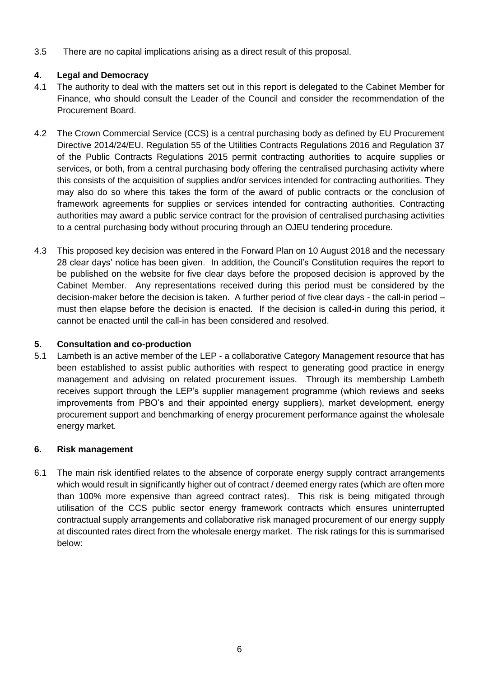3.5 There are no capital implications arising as a direct result of this proposal.

# **4. Legal and Democracy**

- 4.1 The authority to deal with the matters set out in this report is delegated to the Cabinet Member for Finance, who should consult the Leader of the Council and consider the recommendation of the Procurement Board.
- 4.2 The Crown Commercial Service (CCS) is a central purchasing body as defined by EU Procurement Directive 2014/24/EU. Regulation 55 of the Utilities Contracts Regulations 2016 and Regulation 37 of the Public Contracts Regulations 2015 permit contracting authorities to acquire supplies or services, or both, from a central purchasing body offering the centralised purchasing activity where this consists of the acquisition of supplies and/or services intended for contracting authorities. They may also do so where this takes the form of the award of public contracts or the conclusion of framework agreements for supplies or services intended for contracting authorities. Contracting authorities may award a public service contract for the provision of centralised purchasing activities to a central purchasing body without procuring through an OJEU tendering procedure.
- 4.3 This proposed key decision was entered in the Forward Plan on 10 August 2018 and the necessary 28 clear days' notice has been given. In addition, the Council's Constitution requires the report to be published on the website for five clear days before the proposed decision is approved by the Cabinet Member. Any representations received during this period must be considered by the decision-maker before the decision is taken. A further period of five clear days - the call-in period – must then elapse before the decision is enacted. If the decision is called-in during this period, it cannot be enacted until the call-in has been considered and resolved.

# **5. Consultation and co-production**

5.1 Lambeth is an active member of the LEP - a collaborative Category Management resource that has been established to assist public authorities with respect to generating good practice in energy management and advising on related procurement issues. Through its membership Lambeth receives support through the LEP's supplier management programme (which reviews and seeks improvements from PBO's and their appointed energy suppliers), market development, energy procurement support and benchmarking of energy procurement performance against the wholesale energy market.

# **6. Risk management**

6.1 The main risk identified relates to the absence of corporate energy supply contract arrangements which would result in significantly higher out of contract / deemed energy rates (which are often more than 100% more expensive than agreed contract rates). This risk is being mitigated through utilisation of the CCS public sector energy framework contracts which ensures uninterrupted contractual supply arrangements and collaborative risk managed procurement of our energy supply at discounted rates direct from the wholesale energy market. The risk ratings for this is summarised below: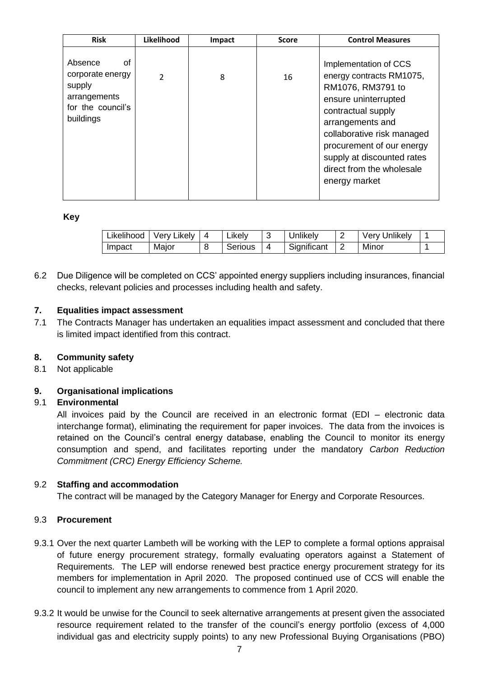| <b>Risk</b>                                                                                   | Likelihood     | Impact | <b>Score</b> | <b>Control Measures</b>                                                                                                                                                                                                                                                         |
|-----------------------------------------------------------------------------------------------|----------------|--------|--------------|---------------------------------------------------------------------------------------------------------------------------------------------------------------------------------------------------------------------------------------------------------------------------------|
| Absence<br>οf<br>corporate energy<br>supply<br>arrangements<br>for the council's<br>buildings | $\mathfrak{p}$ | 8      | 16           | Implementation of CCS<br>energy contracts RM1075,<br>RM1076, RM3791 to<br>ensure uninterrupted<br>contractual supply<br>arrangements and<br>collaborative risk managed<br>procurement of our energy<br>supply at discounted rates<br>direct from the wholesale<br>energy market |

#### **Key**

| Likelihood | Very Likely | ∟ikelv  |   | Jnlikely    | Very Unlikely |  |
|------------|-------------|---------|---|-------------|---------------|--|
| Impact     | Major       | Serious | 4 | Significant | Minor         |  |

6.2 Due Diligence will be completed on CCS' appointed energy suppliers including insurances, financial checks, relevant policies and processes including health and safety.

## **7. Equalities impact assessment**

7.1 The Contracts Manager has undertaken an equalities impact assessment and concluded that there is limited impact identified from this contract.

## **8. Community safety**

8.1 Not applicable

## **9. Organisational implications**

## 9.1 **Environmental**

All invoices paid by the Council are received in an electronic format (EDI – electronic data interchange format), eliminating the requirement for paper invoices. The data from the invoices is retained on the Council's central energy database, enabling the Council to monitor its energy consumption and spend, and facilitates reporting under the mandatory *Carbon Reduction Commitment (CRC) Energy Efficiency Scheme.* 

## 9.2 **Staffing and accommodation**

The contract will be managed by the Category Manager for Energy and Corporate Resources.

## 9.3 **Procurement**

- 9.3.1 Over the next quarter Lambeth will be working with the LEP to complete a formal options appraisal of future energy procurement strategy, formally evaluating operators against a Statement of Requirements. The LEP will endorse renewed best practice energy procurement strategy for its members for implementation in April 2020. The proposed continued use of CCS will enable the council to implement any new arrangements to commence from 1 April 2020.
- 9.3.2 It would be unwise for the Council to seek alternative arrangements at present given the associated resource requirement related to the transfer of the council's energy portfolio (excess of 4,000 individual gas and electricity supply points) to any new Professional Buying Organisations (PBO)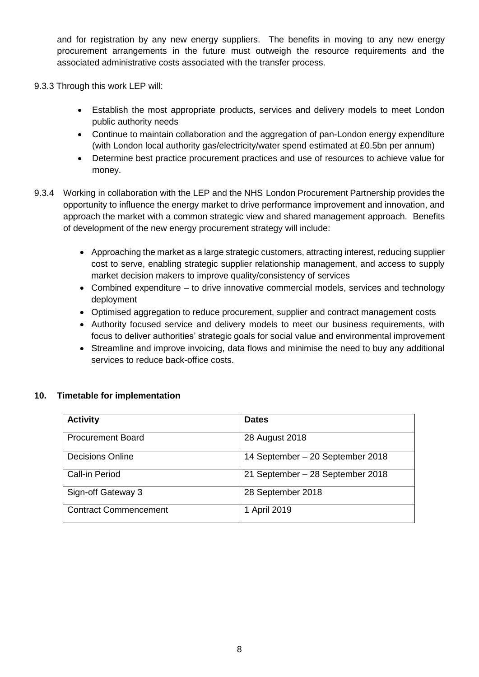and for registration by any new energy suppliers. The benefits in moving to any new energy procurement arrangements in the future must outweigh the resource requirements and the associated administrative costs associated with the transfer process.

- 9.3.3 Through this work LEP will:
	- Establish the most appropriate products, services and delivery models to meet London public authority needs
	- Continue to maintain collaboration and the aggregation of pan-London energy expenditure (with London local authority gas/electricity/water spend estimated at £0.5bn per annum)
	- Determine best practice procurement practices and use of resources to achieve value for money.
- 9.3.4 Working in collaboration with the LEP and the NHS London Procurement Partnership provides the opportunity to influence the energy market to drive performance improvement and innovation, and approach the market with a common strategic view and shared management approach. Benefits of development of the new energy procurement strategy will include:
	- Approaching the market as a large strategic customers, attracting interest, reducing supplier cost to serve, enabling strategic supplier relationship management, and access to supply market decision makers to improve quality/consistency of services
	- Combined expenditure to drive innovative commercial models, services and technology deployment
	- Optimised aggregation to reduce procurement, supplier and contract management costs
	- Authority focused service and delivery models to meet our business requirements, with focus to deliver authorities' strategic goals for social value and environmental improvement
	- Streamline and improve invoicing, data flows and minimise the need to buy any additional services to reduce back-office costs.

#### **10. Timetable for implementation**

| <b>Activity</b>              | <b>Dates</b>                     |
|------------------------------|----------------------------------|
| <b>Procurement Board</b>     | 28 August 2018                   |
| <b>Decisions Online</b>      | 14 September – 20 September 2018 |
| <b>Call-in Period</b>        | 21 September - 28 September 2018 |
| Sign-off Gateway 3           | 28 September 2018                |
| <b>Contract Commencement</b> | 1 April 2019                     |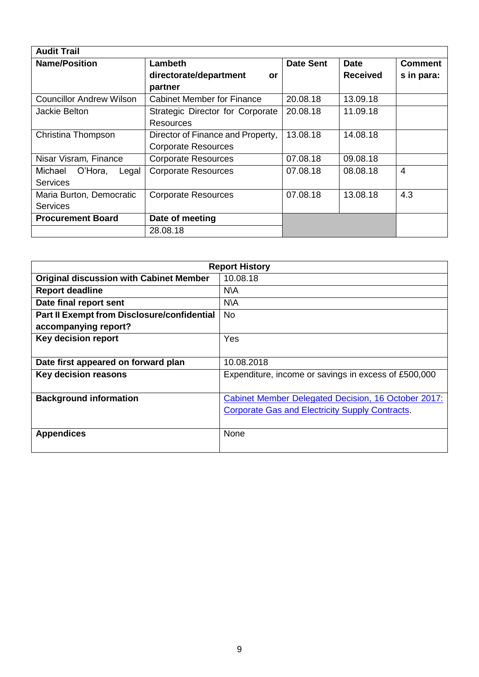| <b>Audit Trail</b>              |                                   |                  |                 |                |
|---------------------------------|-----------------------------------|------------------|-----------------|----------------|
| <b>Name/Position</b>            | Lambeth                           | <b>Date Sent</b> | <b>Date</b>     | <b>Comment</b> |
|                                 | directorate/department<br>or      |                  | <b>Received</b> | s in para:     |
|                                 | partner                           |                  |                 |                |
| <b>Councillor Andrew Wilson</b> | <b>Cabinet Member for Finance</b> | 20.08.18         | 13.09.18        |                |
| Jackie Belton                   | Strategic Director for Corporate  | 20.08.18         | 11.09.18        |                |
|                                 | <b>Resources</b>                  |                  |                 |                |
| Christina Thompson              | Director of Finance and Property, | 13.08.18         | 14.08.18        |                |
|                                 | <b>Corporate Resources</b>        |                  |                 |                |
| Nisar Visram, Finance           | <b>Corporate Resources</b>        | 07.08.18         | 09.08.18        |                |
| O'Hora,<br>Michael<br>Legal     | <b>Corporate Resources</b>        | 07.08.18         | 08.08.18        | 4              |
| <b>Services</b>                 |                                   |                  |                 |                |
| Maria Burton, Democratic        | <b>Corporate Resources</b>        | 07.08.18         | 13.08.18        | 4.3            |
| <b>Services</b>                 |                                   |                  |                 |                |
| <b>Procurement Board</b>        | Date of meeting                   |                  |                 |                |
|                                 | 28.08.18                          |                  |                 |                |

| <b>Report History</b>                              |                                                        |  |  |  |
|----------------------------------------------------|--------------------------------------------------------|--|--|--|
| <b>Original discussion with Cabinet Member</b>     | 10.08.18                                               |  |  |  |
| <b>Report deadline</b>                             | N\A                                                    |  |  |  |
| Date final report sent                             | N\A                                                    |  |  |  |
| <b>Part II Exempt from Disclosure/confidential</b> | <b>No</b>                                              |  |  |  |
| accompanying report?                               |                                                        |  |  |  |
| <b>Key decision report</b>                         | Yes                                                    |  |  |  |
|                                                    |                                                        |  |  |  |
| Date first appeared on forward plan                | 10.08.2018                                             |  |  |  |
| <b>Key decision reasons</b>                        | Expenditure, income or savings in excess of £500,000   |  |  |  |
|                                                    |                                                        |  |  |  |
| <b>Background information</b>                      | Cabinet Member Delegated Decision, 16 October 2017:    |  |  |  |
|                                                    | <b>Corporate Gas and Electricity Supply Contracts.</b> |  |  |  |
|                                                    |                                                        |  |  |  |
| <b>Appendices</b>                                  | None                                                   |  |  |  |
|                                                    |                                                        |  |  |  |